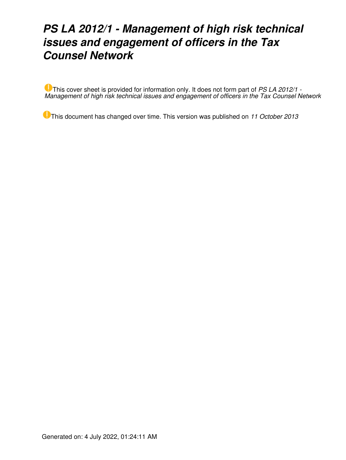# *PS LA 2012/1 - Management of high risk technical issues and engagement of officers in the Tax Counsel Network*

This cover sheet is provided for information only. It does not form part of *PS LA 2012/1 - Management of high risk technical issues and engagement of officers in the Tax Counsel Network*

This document has changed over time. This version was published on *11 October 2013*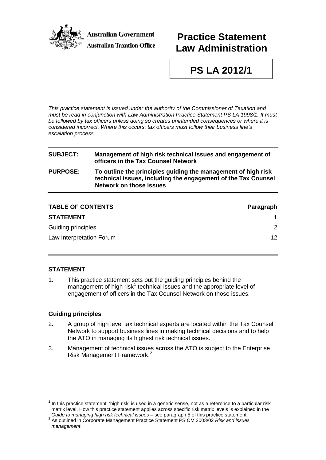

## **Practice Statement Law Administration**

# **PS LA 2012/1**

*This practice statement is issued under the authority of the Commissioner of Taxation and must be read in conjunction with Law Administration Practice Statement PS LA 1998/1. It must be followed by tax officers unless doing so creates unintended consequences or where it is considered incorrect. Where this occurs, tax officers must follow their business line's escalation process.*

| <b>SUBJECT:</b> | Management of high risk technical issues and engagement of<br>officers in the Tax Counsel Network                                                                |
|-----------------|------------------------------------------------------------------------------------------------------------------------------------------------------------------|
| <b>PURPOSE:</b> | To outline the principles guiding the management of high risk<br>technical issues, including the engagement of the Tax Counsel<br><b>Network on those issues</b> |
|                 |                                                                                                                                                                  |

| <b>TABLE OF CONTENTS</b> | Paragraph       |
|--------------------------|-----------------|
| <b>STATEMENT</b>         |                 |
| Guiding principles       | $\mathcal{P}$   |
| Law Interpretation Forum | 12 <sup>°</sup> |

#### **STATEMENT**

1. This practice statement sets out the guiding principles behind the management of high risk<sup>[1](#page-1-0)</sup> technical issues and the appropriate level of engagement of officers in the Tax Counsel Network on those issues.

#### **Guiding principles**

-

- 2. A group of high level tax technical experts are located within the Tax Counsel Network to support business lines in making technical decisions and to help the ATO in managing its highest risk technical issues.
- 3. Management of technical issues across the ATO is subject to the Enterprise Risk Management Framework. [2](#page-1-1)

<span id="page-1-0"></span>**<sup>1</sup>** In this practice statement, 'high risk' is used in a generic sense, not as a reference to a particular risk matrix level. How this practice statement applies across specific risk matrix levels is explained in the Guide to managing high risk technical issues – see paragraph 5 of this practice statement.

<span id="page-1-1"></span>*Guide to managing high risk technical issues* – see paragraph 5 of this practice statement. 2 As outlined in Corporate Management Practice Statement PS CM 2003/02 *Risk and issues management*.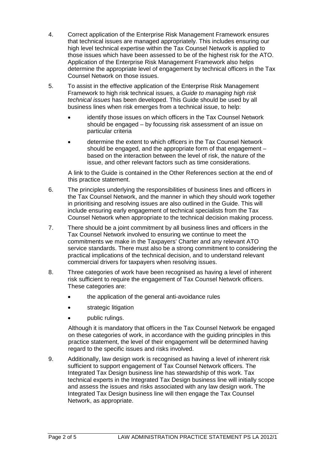- 4. Correct application of the Enterprise Risk Management Framework ensures that technical issues are managed appropriately. This includes ensuring our high level technical expertise within the Tax Counsel Network is applied to those issues which have been assessed to be of the highest risk for the ATO. Application of the Enterprise Risk Management Framework also helps determine the appropriate level of engagement by technical officers in the Tax Counsel Network on those issues.
- 5. To assist in the effective application of the Enterprise Risk Management Framework to high risk technical issues, a *Guide to managing high risk technical issues* has been developed. This Guide should be used by all business lines when risk emerges from a technical issue, to help:
	- identify those issues on which officers in the Tax Counsel Network should be engaged – by focussing risk assessment of an issue on particular criteria
	- determine the extent to which officers in the Tax Counsel Network should be engaged, and the appropriate form of that engagement – based on the interaction between the level of risk, the nature of the issue, and other relevant factors such as time considerations.

A link to the Guide is contained in the Other References section at the end of this practice statement.

- 6. The principles underlying the responsibilities of business lines and officers in the Tax Counsel Network, and the manner in which they should work together in prioritising and resolving issues are also outlined in the Guide. This will include ensuring early engagement of technical specialists from the Tax Counsel Network when appropriate to the technical decision making process.
- 7. There should be a joint commitment by all business lines and officers in the Tax Counsel Network involved to ensuring we continue to meet the commitments we make in the Taxpayers' Charter and any relevant ATO service standards. There must also be a strong commitment to considering the practical implications of the technical decision, and to understand relevant commercial drivers for taxpayers when resolving issues.
- 8. Three categories of work have been recognised as having a level of inherent risk sufficient to require the engagement of Tax Counsel Network officers. These categories are:
	- the application of the general anti-avoidance rules
	- strategic litigation
	- public rulings.

Although it is mandatory that officers in the Tax Counsel Network be engaged on these categories of work, in accordance with the guiding principles in this practice statement, the level of their engagement will be determined having regard to the specific issues and risks involved.

9. Additionally, law design work is recognised as having a level of inherent risk sufficient to support engagement of Tax Counsel Network officers. The Integrated Tax Design business line has stewardship of this work. Tax technical experts in the Integrated Tax Design business line will initially scope and assess the issues and risks associated with any law design work. The Integrated Tax Design business line will then engage the Tax Counsel Network, as appropriate.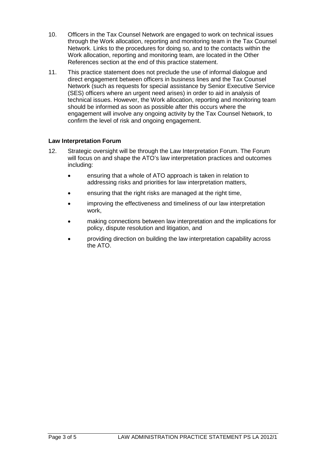- 10. Officers in the Tax Counsel Network are engaged to work on technical issues through the Work allocation, reporting and monitoring team in the Tax Counsel Network. Links to the procedures for doing so, and to the contacts within the Work allocation, reporting and monitoring team, are located in the Other References section at the end of this practice statement.
- 11. This practice statement does not preclude the use of informal dialogue and direct engagement between officers in business lines and the Tax Counsel Network (such as requests for special assistance by Senior Executive Service (SES) officers where an urgent need arises) in order to aid in analysis of technical issues. However, the Work allocation, reporting and monitoring team should be informed as soon as possible after this occurs where the engagement will involve any ongoing activity by the Tax Counsel Network, to confirm the level of risk and ongoing engagement.

#### **Law Interpretation Forum**

- 12. Strategic oversight will be through the Law Interpretation Forum. The Forum will focus on and shape the ATO's law interpretation practices and outcomes including:
	- ensuring that a whole of ATO approach is taken in relation to addressing risks and priorities for law interpretation matters,
	- ensuring that the right risks are managed at the right time,
	- improving the effectiveness and timeliness of our law interpretation work,
	- making connections between law interpretation and the implications for policy, dispute resolution and litigation, and
	- providing direction on building the law interpretation capability across the ATO.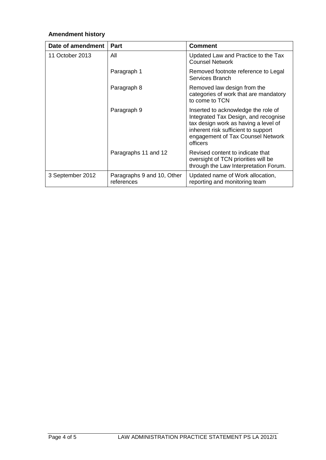### **Amendment history**

| Date of amendment | Part                                     | <b>Comment</b>                                                                                                                                                                                              |
|-------------------|------------------------------------------|-------------------------------------------------------------------------------------------------------------------------------------------------------------------------------------------------------------|
| 11 October 2013   | All                                      | Updated Law and Practice to the Tax<br><b>Counsel Network</b>                                                                                                                                               |
|                   | Paragraph 1                              | Removed footnote reference to Legal<br>Services Branch                                                                                                                                                      |
|                   | Paragraph 8                              | Removed law design from the<br>categories of work that are mandatory<br>to come to TCN                                                                                                                      |
|                   | Paragraph 9                              | Inserted to acknowledge the role of<br>Integrated Tax Design, and recognise<br>tax design work as having a level of<br>inherent risk sufficient to support<br>engagement of Tax Counsel Network<br>officers |
|                   | Paragraphs 11 and 12                     | Revised content to indicate that<br>oversight of TCN priorities will be<br>through the Law Interpretation Forum.                                                                                            |
| 3 September 2012  | Paragraphs 9 and 10, Other<br>references | Updated name of Work allocation,<br>reporting and monitoring team                                                                                                                                           |